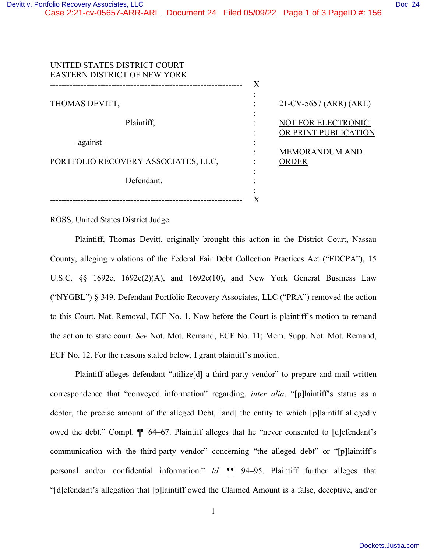| UNITED STATES DISTRICT COURT<br><b>EASTERN DISTRICT OF NEW YORK</b> |   |                                                   |
|---------------------------------------------------------------------|---|---------------------------------------------------|
|                                                                     | X |                                                   |
| THOMAS DEVITT,                                                      |   | 21-CV-5657 (ARR) (ARL)                            |
| Plaintiff,                                                          |   | <b>NOT FOR ELECTRONIC</b><br>OR PRINT PUBLICATION |
| -against-                                                           |   |                                                   |
| PORTFOLIO RECOVERY ASSOCIATES, LLC,                                 |   | <b>MEMORANDUM AND</b><br><b>ORDER</b>             |
| Defendant.                                                          |   |                                                   |
|                                                                     |   |                                                   |

ROSS, United States District Judge:

Plaintiff, Thomas Devitt, originally brought this action in the District Court, Nassau County, alleging violations of the Federal Fair Debt Collection Practices Act ("FDCPA"), 15 U.S.C. §§ 1692e, 1692e(2)(A), and 1692e(10), and New York General Business Law ("NYGBL") § 349. Defendant Portfolio Recovery Associates, LLC ("PRA") removed the action to this Court. Not. Removal, ECF No. 1. Now before the Court is plaintiff's motion to remand the action to state court. *See* Not. Mot. Remand, ECF No. 11; Mem. Supp. Not. Mot. Remand, ECF No. 12. For the reasons stated below, I grant plaintiff's motion.

Plaintiff alleges defendant "utilize[d] a third-party vendor" to prepare and mail written correspondence that "conveyed information" regarding, *inter alia*, "[p]laintiff's status as a debtor, the precise amount of the alleged Debt, [and] the entity to which [p]laintiff allegedly owed the debt." Compl. ¶¶ 64–67. Plaintiff alleges that he "never consented to [d]efendant's communication with the third-party vendor" concerning "the alleged debt" or "[p]laintiff's personal and/or confidential information." *Id.* ¶¶ 94–95. Plaintiff further alleges that "[d]efendant's allegation that [p]laintiff owed the Claimed Amount is a false, deceptive, and/or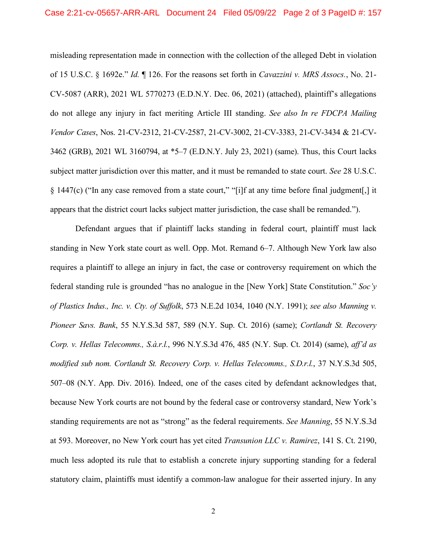misleading representation made in connection with the collection of the alleged Debt in violation of 15 U.S.C. § 1692e." *Id.* ¶ 126. For the reasons set forth in *Cavazzini v. MRS Assocs.*, No. 21- CV-5087 (ARR), 2021 WL 5770273 (E.D.N.Y. Dec. 06, 2021) (attached), plaintiff's allegations do not allege any injury in fact meriting Article III standing. *See also In re FDCPA Mailing Vendor Cases*, Nos. 21-CV-2312, 21-CV-2587, 21-CV-3002, 21-CV-3383, 21-CV-3434 & 21-CV-3462 (GRB), 2021 WL 3160794, at \*5–7 (E.D.N.Y. July 23, 2021) (same). Thus, this Court lacks subject matter jurisdiction over this matter, and it must be remanded to state court. *See* 28 U.S.C. § 1447(c) ("In any case removed from a state court," "[i]f at any time before final judgment[,] it appears that the district court lacks subject matter jurisdiction, the case shall be remanded.").

Defendant argues that if plaintiff lacks standing in federal court, plaintiff must lack standing in New York state court as well. Opp. Mot. Remand 6–7. Although New York law also requires a plaintiff to allege an injury in fact, the case or controversy requirement on which the federal standing rule is grounded "has no analogue in the [New York] State Constitution." *Soc'y of Plastics Indus., Inc. v. Cty. of Suffolk*, 573 N.E.2d 1034, 1040 (N.Y. 1991); *see also Manning v. Pioneer Savs. Bank*, 55 N.Y.S.3d 587, 589 (N.Y. Sup. Ct. 2016) (same); *Cortlandt St. Recovery Corp. v. Hellas Telecomms., S.à.r.l.*, 996 N.Y.S.3d 476, 485 (N.Y. Sup. Ct. 2014) (same), *aff'd as modified sub nom. Cortlandt St. Recovery Corp. v. Hellas Telecomms., S.D.r.l.*, 37 N.Y.S.3d 505, 507–08 (N.Y. App. Div. 2016). Indeed, one of the cases cited by defendant acknowledges that, because New York courts are not bound by the federal case or controversy standard, New York's standing requirements are not as "strong" as the federal requirements. *See Manning*, 55 N.Y.S.3d at 593. Moreover, no New York court has yet cited *Transunion LLC v. Ramirez*, 141 S. Ct. 2190, much less adopted its rule that to establish a concrete injury supporting standing for a federal statutory claim, plaintiffs must identify a common-law analogue for their asserted injury. In any